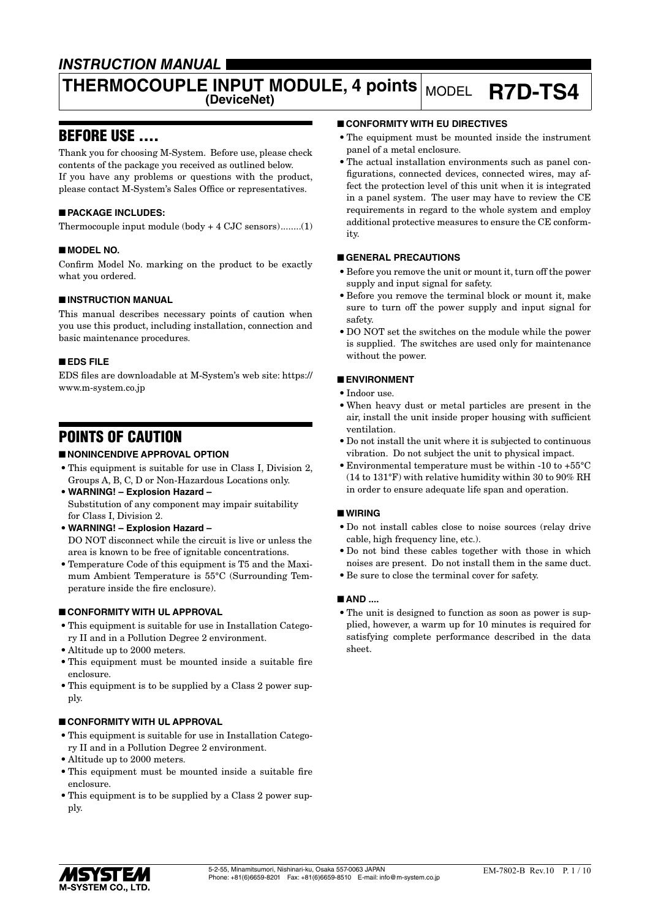## *INSTRUCTION MANUAL*

# **THERMOCOUPLE INPUT MODULE, 4 points (DeviceNet)** MODEL **R7D-TS4**

## BEFORE USE ....

Thank you for choosing M-System. Before use, please check contents of the package you received as outlined below. If you have any problems or questions with the product, please contact M-System's Sales Office or representatives.

#### ■ **PACKAGE INCLUDES:**

Thermocouple input module (body + 4 CJC sensors)........(1)

#### ■ **MODEL NO.**

Confirm Model No. marking on the product to be exactly what you ordered.

#### ■ **INSTRUCTION MANUAL**

This manual describes necessary points of caution when you use this product, including installation, connection and basic maintenance procedures.

#### ■ **EDS FILE**

EDS files are downloadable at M-System's web site: https:// www.m-system.co.jp

## POINTS OF CAUTION

#### ■ **NONINCENDIVE APPROVAL OPTION**

- This equipment is suitable for use in Class I, Division 2, Groups A, B, C, D or Non-Hazardous Locations only.
- **WARNING! Explosion Hazard –** Substitution of any component may impair suitability for Class I, Division 2.
- **WARNING! Explosion Hazard –** DO NOT disconnect while the circuit is live or unless the area is known to be free of ignitable concentrations.
- Temperature Code of this equipment is T5 and the Maximum Ambient Temperature is 55°C (Surrounding Temperature inside the fire enclosure).

#### ■ **CONFORMITY WITH UL APPROVAL**

- This equipment is suitable for use in Installation Category II and in a Pollution Degree 2 environment.
- Altitude up to 2000 meters.
- This equipment must be mounted inside a suitable fire enclosure.
- This equipment is to be supplied by a Class 2 power supply.

#### ■ **CONFORMITY WITH UL APPROVAL**

- This equipment is suitable for use in Installation Category II and in a Pollution Degree 2 environment.
- Altitude up to 2000 meters.
- This equipment must be mounted inside a suitable fire enclosure.
- This equipment is to be supplied by a Class 2 power supply.

#### ■ **CONFORMITY WITH EU DIRECTIVES**

- The equipment must be mounted inside the instrument panel of a metal enclosure.
- The actual installation environments such as panel configurations, connected devices, connected wires, may affect the protection level of this unit when it is integrated in a panel system. The user may have to review the CE requirements in regard to the whole system and employ additional protective measures to ensure the CE conformity.

#### ■ **GENERAL PRECAUTIONS**

- Before you remove the unit or mount it, turn off the power supply and input signal for safety.
- Before you remove the terminal block or mount it, make sure to turn off the power supply and input signal for safety.
- DO NOT set the switches on the module while the power is supplied. The switches are used only for maintenance without the power.

#### ■ **ENVIRONMENT**

- Indoor use.
- When heavy dust or metal particles are present in the air, install the unit inside proper housing with sufficient ventilation.
- Do not install the unit where it is subjected to continuous vibration. Do not subject the unit to physical impact.
- Environmental temperature must be within -10 to +55°C (14 to 131°F) with relative humidity within 30 to 90% RH in order to ensure adequate life span and operation.

#### ■ **WIRING**

- Do not install cables close to noise sources (relay drive cable, high frequency line, etc.).
- Do not bind these cables together with those in which noises are present. Do not install them in the same duct.
- Be sure to close the terminal cover for safety.

#### ■ **AND** ....

• The unit is designed to function as soon as power is supplied, however, a warm up for 10 minutes is required for satisfying complete performance described in the data sheet.

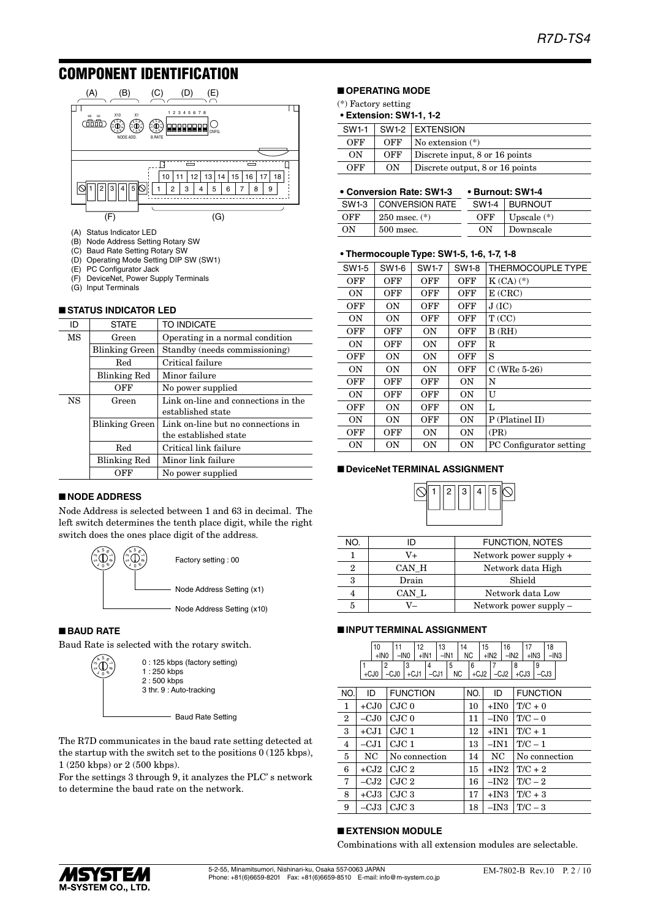## COMPONENT IDENTIFICATION



- (A) Status Indicator LED
- (B) Node Address Setting Rotary SW
- (C) Baud Rate Setting Rotary SW
- (D) Operating Mode Setting DIP SW (SW1)
- PC Configurator Jack
- (F) DeviceNet, Power Supply Terminals (G) Input Terminals

|           | <b>STATUS INDICATOR LED</b> |                                     |
|-----------|-----------------------------|-------------------------------------|
| ID        | <b>STATE</b>                | TO INDICATE                         |
| MS        | Green                       | Operating in a normal condition     |
|           | Blinking Green              | Standby (needs commissioning)       |
|           | Red                         | Critical failure                    |
|           | <b>Blinking Red</b>         | Minor failure                       |
|           | OFF                         | No power supplied                   |
| <b>NS</b> | Green                       | Link on-line and connections in the |
|           |                             | established state                   |
|           | Blinking Green              | Link on-line but no connections in  |
|           |                             | the established state               |
|           | Red                         | Critical link failure               |
|           | <b>Blinking Red</b>         | Minor link failure                  |
|           | OFF                         | No power supplied                   |

#### ■ **NODE ADDRESS**

Node Address is selected between 1 and 63 in decimal. The left switch determines the tenth place digit, while the right switch does the ones place digit of the address.



#### ■ **BAUD RATE**

Baud Rate is selected with the rotary switch.



The R7D communicates in the baud rate setting detected at the startup with the switch set to the positions 0 (125 kbps), 1 (250 kbps) or 2 (500 kbps).

For the settings 3 through 9, it analyzes the PLC' s network to determine the baud rate on the network.

#### ■ **OPERATING MODE**

- (\*) Factory setting
- **• Extension: SW1-1, 1-2**

| SW1-1 |     | SW1-2 EXTENSION                 |
|-------|-----|---------------------------------|
| OFF   | OFF | $\vert$ No extension $(*)$      |
| ON    | OFF | Discrete input, 8 or 16 points  |
| OFF   | ON  | Discrete output, 8 or 16 points |

#### • **Conversion Rate: SW1-3 • Burnout: SW1-4**

|     | SW1-3   CONVERSION RATE |     | SW1-4   BURNOUT |
|-----|-------------------------|-----|-----------------|
| OFF | $250$ msec. $(*)$       | OFF | Upscale $(*)$   |
| OΝ  | 500 msec.               | OΝ  | Downscale       |

#### **• Thermocouple Type: SW1-5, 1-6, 1-7, 1-8**

| SW1-6     | SW1-7     | SW1-8      | THERMOCOUPLE TYPE       |
|-----------|-----------|------------|-------------------------|
| OFF       | OFF       | OFF        | $K(CA)$ $(*)$           |
| OFF       | OFF       | OFF        | E(CRC)                  |
| OΝ        | OFF       | OFF        | J(IC)                   |
| 0N        | OFF       | OFF        | T(CC)                   |
| OFF       | ON        | OFF        | B(RH)                   |
| OFF       | 0N        | OFF        | $_{\rm R}$              |
| 0N        | 0N        | OFF        | S                       |
| <b>ON</b> | <b>ON</b> | <b>OFF</b> | $C$ (WRe 5-26)          |
| OFF       | OFF       | 0N         | N                       |
| OFF       | OFF       | <b>ON</b>  | U                       |
| OΝ        | OFF       | OΝ         | L                       |
| <b>ON</b> | OFF       | <b>ON</b>  | P (Platinel II)         |
| OFF       | ON        | 0N         | (PR)                    |
| <b>ON</b> | <b>ON</b> | <b>ON</b>  | PC Configurator setting |
|           |           |            |                         |

#### ■ **DeviceNet TERMINAL ASSIGNMENT**



| NO. |       | <b>FUNCTION, NOTES</b> |
|-----|-------|------------------------|
|     | V+    | Network power supply + |
| 2   | CAN H | Network data High      |
| 3   | Drain | Shield                 |
|     | CAN L | Network data Low       |
| 5   |       | Network power supply – |

#### ■ **INPUT TERMINAL ASSIGNMENT**

|  | 10                                                         |  | 12                            | 13 | 14 | 15 | 16 |  | 18                               |  |
|--|------------------------------------------------------------|--|-------------------------------|----|----|----|----|--|----------------------------------|--|
|  | $+1N0$                                                     |  | $-$ INO $ $ +IN1 $ $ -IN1 $ $ |    |    |    |    |  | $NC$ $+1N2$ $-1N2$ $+1N3$ $-1N3$ |  |
|  |                                                            |  |                               |    |    |    |    |  |                                  |  |
|  | +CJ0   -CJ0   +CJ1   -CJ1   NC   +CJ2   -CJ2   +CJ3   -CJ3 |  |                               |    |    |    |    |  |                                  |  |

| NO.            | ID     | <b>FUNCTION</b>  | NO. | ID     | <b>FUNCTION</b> |
|----------------|--------|------------------|-----|--------|-----------------|
| 1              | $+CJ0$ | CJC <sub>0</sub> | 10  | $+IN0$ | $T/C + 0$       |
| $\overline{2}$ | $-CJ0$ | CJC <sub>0</sub> | 11  | $-IN0$ | $T/C - 0$       |
| 3              | $+CJ1$ | CJC1             | 12  | $+IN1$ | $T/C + 1$       |
| $\overline{4}$ | $-CJ1$ | CJC1             | 13  | $-IN1$ | $T/C-1$         |
| 5              | NC     | No connection    | 14  | NC     | No connection   |
| 6              | $+CJ2$ | CJC 2            | 15  | $+IN2$ | $T/C + 2$       |
| 7              | $-CJ2$ | CJC 2            | 16  | $-IN2$ | $T/C-2$         |
| 8              | $+CJ3$ | CJC <sub>3</sub> | 17  | $+IN3$ | $T/C + 3$       |
| 9              | –CJ3   | CJC3             | 18  | $-IN3$ | $T/C - 3$       |

#### ■ **EXTENSION MODULE**

Combinations with all extension modules are selectable.

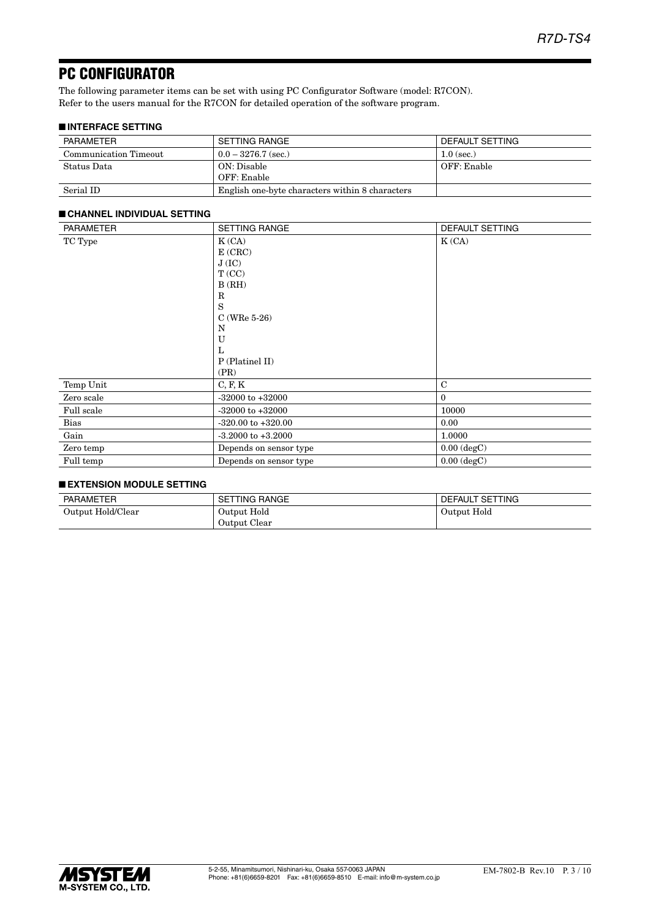## PC CONFIGURATOR

The following parameter items can be set with using PC Configurator Software (model: R7CON). Refer to the users manual for the R7CON for detailed operation of the software program.

#### ■ **INTERFACE SETTING**

| PARAMETER             | SETTING RANGE                                   | DEFAULT SETTING |
|-----------------------|-------------------------------------------------|-----------------|
| Communication Timeout | $0.0 - 3276.7$ (sec.)                           | $1.0$ (sec.)    |
| Status Data           | ON: Disable                                     | OFF: Enable     |
|                       | OFF: Enable                                     |                 |
| Serial ID             | English one-byte characters within 8 characters |                 |

#### PARAMETER SETTING RANGE DEFAULT SETTING TC Type  $K (CA)$ E (CRC)  $\rm J$  (IC) T (CC) B (RH) R S C (WRe 5-26) N U L P (Platinel II) (PR) K (CA) Temp Unit C, F, K C Zero scale  $-32000$  to  $+32000$  0 Full scale  $-32000 \text{ to } +32000$  10000 Bias  $-320.00 \text{ to } +320.00$  0.00 Gain 1.0000 -3.2000 to +3.2000 1.0000 1.0000 Zero temp Depends on sensor type 0.00 (degC) Full temp Depends on sensor type 0.00 (degC)

#### ■ **CHANNEL INDIVIDUAL SETTING**

#### ■ **EXTENSION MODULE SETTING**

| PARAMETER         | <b>SETTING RANGE</b> | DEFAULT SETTING |
|-------------------|----------------------|-----------------|
| Output Hold/Clear | Output Hold          | Output Hold     |
|                   | Output Clear         |                 |

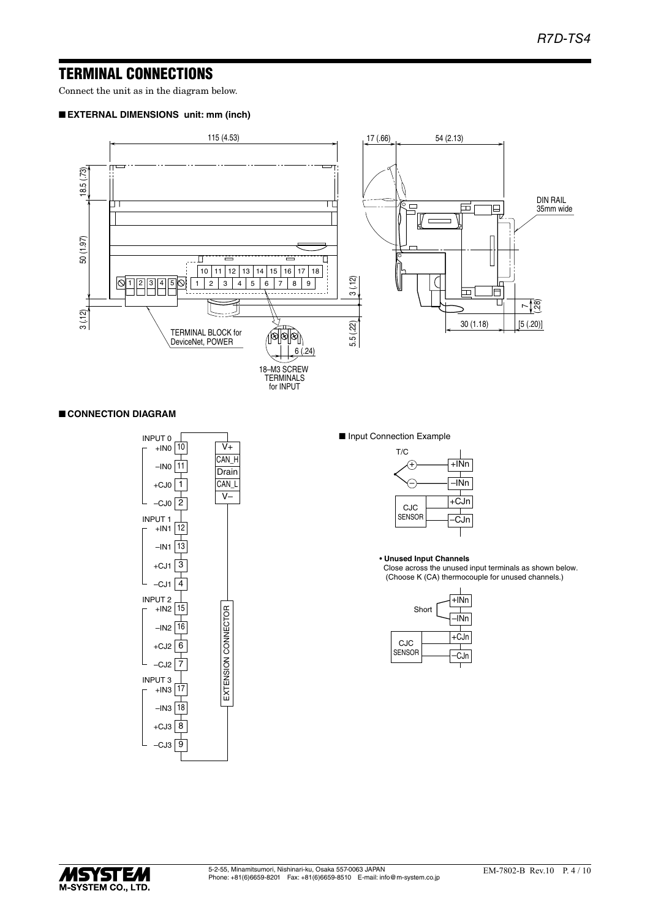## TERMINAL CONNECTIONS

Connect the unit as in the diagram below.

#### ■ **EXTERNAL DIMENSIONS unit: mm (inch)**



#### ■ **CONNECTION DIAGRAM**



■ Input Connection Example



• **Unused Input Channels**

 Close across the unused input terminals as shown below. (Choose K (CA) thermocouple for unused channels.)

|               | Short | $+$ INn<br>INn |
|---------------|-------|----------------|
| <b>CJC</b>    |       | +CJn           |
| <b>SENSOR</b> |       | CJn            |

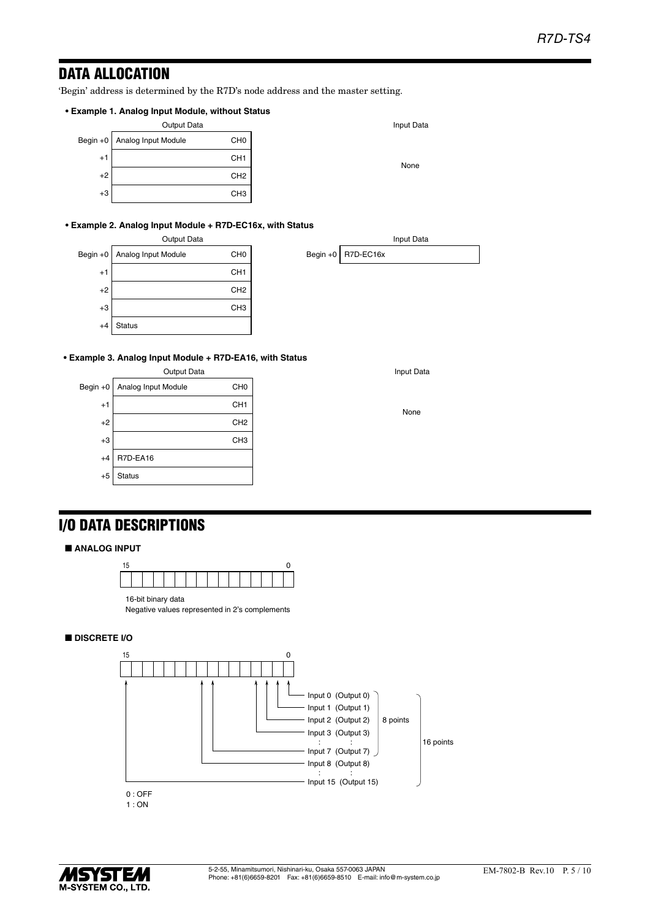## DATA ALLOCATION

'Begin' address is determined by the R7D's node address and the master setting.

#### **• Example 1. Analog Input Module, without Status**

| Output Data |                                |                 |  |  |  |
|-------------|--------------------------------|-----------------|--|--|--|
|             | Begin +0   Analog Input Module | CH <sub>0</sub> |  |  |  |
| $+1$        |                                | CH <sub>1</sub> |  |  |  |
| $+2$        |                                | CH <sub>2</sub> |  |  |  |
| $+3$        |                                | CH <sub>3</sub> |  |  |  |

#### **• Example 2. Analog Input Module + R7D-EC16x, with Status**

|            | Output Data         |                 |            |
|------------|---------------------|-----------------|------------|
| Begin $+0$ | Analog Input Module | CH <sub>0</sub> | Begin $+0$ |
| $+1$       |                     | CH <sub>1</sub> |            |
| $+2$       |                     | CH <sub>2</sub> |            |
| $+3$       |                     | CH <sub>3</sub> |            |
| $+4$       | <b>Status</b>       |                 |            |

**• Example 3. Analog Input Module + R7D-EA16, with Status**



Input Data

None

Input Data

R7D-EC16x

None

## I/O DATA DESCRIPTIONS

#### ■ **ANALOG INPUT**



Negative values represented in 2's complements

#### ■ **DISCRETE I/O**



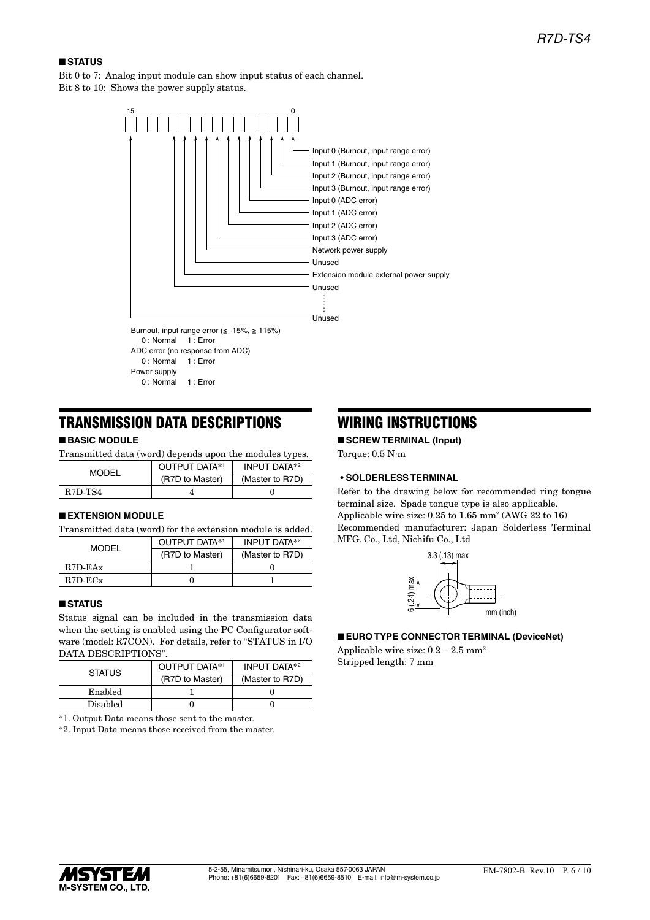#### ■ **STATUS**

Bit 0 to 7: Analog input module can show input status of each channel. Bit 8 to 10: Shows the power supply status.



## TRANSMISSION DATA DESCRIPTIONS

#### ■ **BASIC MODULE**

| Transmitted data (word) depends upon the modules types. |                      |                     |  |
|---------------------------------------------------------|----------------------|---------------------|--|
| MODEL                                                   | <b>OUTPUT DATA*1</b> | <b>INPUT DATA*2</b> |  |
|                                                         | (R7D to Master)      | (Master to R7D)     |  |
| R <sub>7</sub> D-T <sub>S4</sub>                        |                      |                     |  |

#### ■ **EXTENSION MODULE**

Transmitted data (word) for the extension module is added.

| MODEL      | OUTPUT DATA*1   | <b>INPUT DATA*2</b> |
|------------|-----------------|---------------------|
|            | (R7D to Master) | (Master to R7D)     |
| $R7D$ -EAx |                 |                     |
| R7D-ECx    |                 |                     |

#### ■ **STATUS**

Status signal can be included in the transmission data when the setting is enabled using the PC Configurator software (model: R7CON). For details, refer to "STATUS in I/O DATA DESCRIPTIONS".

| <b>STATUS</b> | OUTPUT DATA*1   | <b>INPUT DATA*2</b> |
|---------------|-----------------|---------------------|
|               | (R7D to Master) | (Master to R7D)     |
| Enabled       |                 |                     |
| Disabled      |                 |                     |

\*1. Output Data means those sent to the master.

\*2. Input Data means those received from the master.

## WIRING INSTRUCTIONS

■ **SCREW TERMINAL (Input)**

Torque: 0.5 N·m

#### **• SOLDERLESS TERMINAL**

Refer to the drawing below for recommended ring tongue terminal size. Spade tongue type is also applicable. Applicable wire size: 0.25 to 1.65 mm2 (AWG 22 to 16) Recommended manufacturer: Japan Solderless Terminal MFG. Co., Ltd, Nichifu Co., Ltd



■ **EURO TYPE CONNECTOR TERMINAL (DeviceNet)**

Applicable wire size:  $0.2 - 2.5$  mm<sup>2</sup> Stripped length: 7 mm

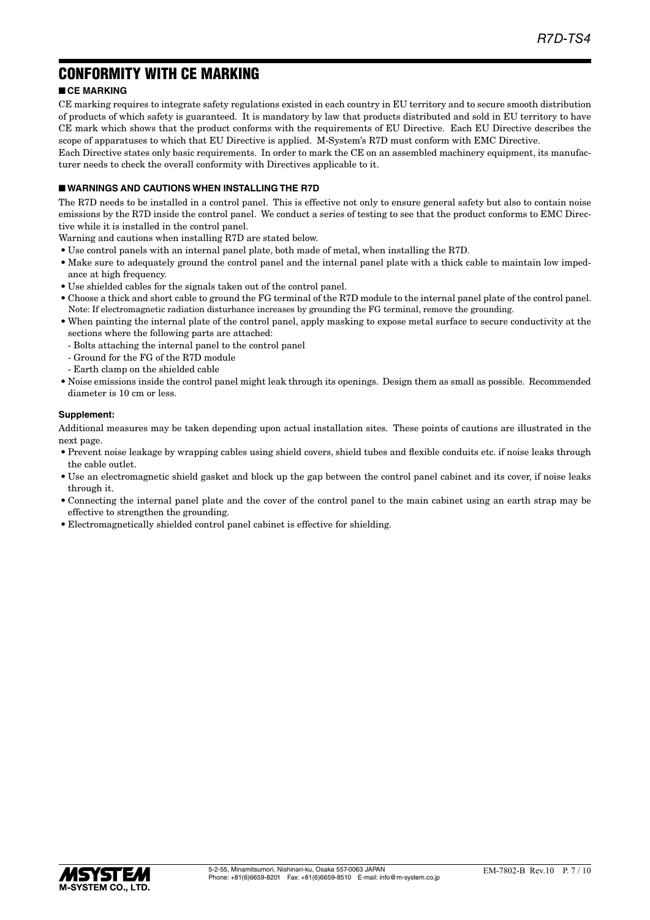## CONFORMITY WITH CE MARKING

### ■ **CE MARKING**

CE marking requires to integrate safety regulations existed in each country in EU territory and to secure smooth distribution of products of which safety is guaranteed. It is mandatory by law that products distributed and sold in EU territory to have CE mark which shows that the product conforms with the requirements of EU Directive. Each EU Directive describes the scope of apparatuses to which that EU Directive is applied. M-System's R7D must conform with EMC Directive.

Each Directive states only basic requirements. In order to mark the CE on an assembled machinery equipment, its manufacturer needs to check the overall conformity with Directives applicable to it.

#### ■ **WARNINGS AND CAUTIONS WHEN INSTALLING THE R7D**

The R7D needs to be installed in a control panel. This is effective not only to ensure general safety but also to contain noise emissions by the R7D inside the control panel. We conduct a series of testing to see that the product conforms to EMC Directive while it is installed in the control panel.

Warning and cautions when installing R7D are stated below.

- Use control panels with an internal panel plate, both made of metal, when installing the R7D.
- Make sure to adequately ground the control panel and the internal panel plate with a thick cable to maintain low impedance at high frequency.
- Use shielded cables for the signals taken out of the control panel.
- Choose a thick and short cable to ground the FG terminal of the R7D module to the internal panel plate of the control panel. Note: If electromagnetic radiation disturbance increases by grounding the FG terminal, remove the grounding.
- When painting the internal plate of the control panel, apply masking to expose metal surface to secure conductivity at the sections where the following parts are attached:
	- Bolts attaching the internal panel to the control panel
	- Ground for the FG of the R7D module
	- Earth clamp on the shielded cable
- Noise emissions inside the control panel might leak through its openings. Design them as small as possible. Recommended diameter is 10 cm or less.

#### **Supplement:**

Additional measures may be taken depending upon actual installation sites. These points of cautions are illustrated in the next page.

- Prevent noise leakage by wrapping cables using shield covers, shield tubes and flexible conduits etc. if noise leaks through the cable outlet.
- Use an electromagnetic shield gasket and block up the gap between the control panel cabinet and its cover, if noise leaks through it.
- Connecting the internal panel plate and the cover of the control panel to the main cabinet using an earth strap may be effective to strengthen the grounding.
- Electromagnetically shielded control panel cabinet is effective for shielding.

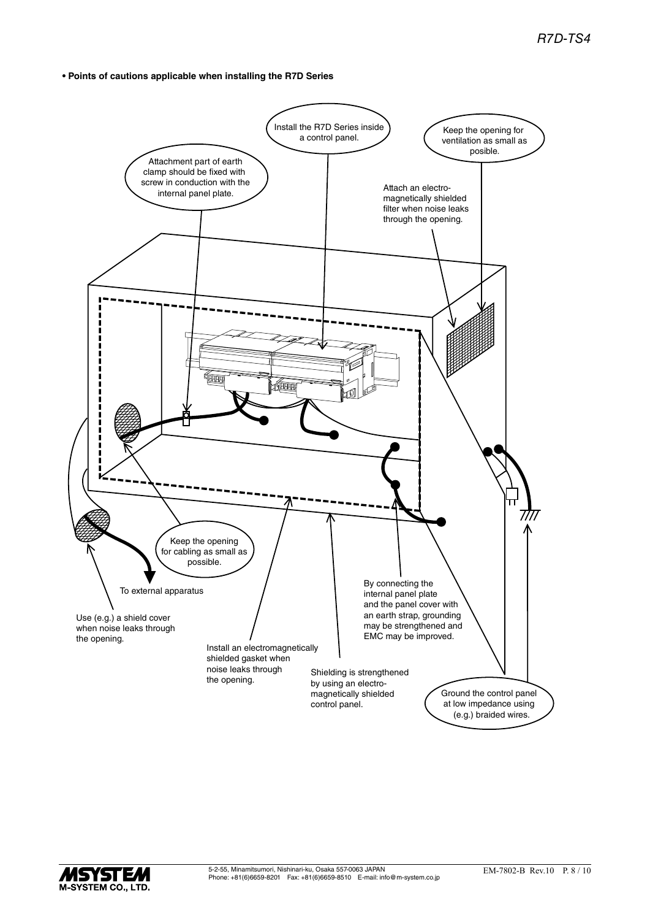**• Points of cautions applicable when installing the R7D Series**



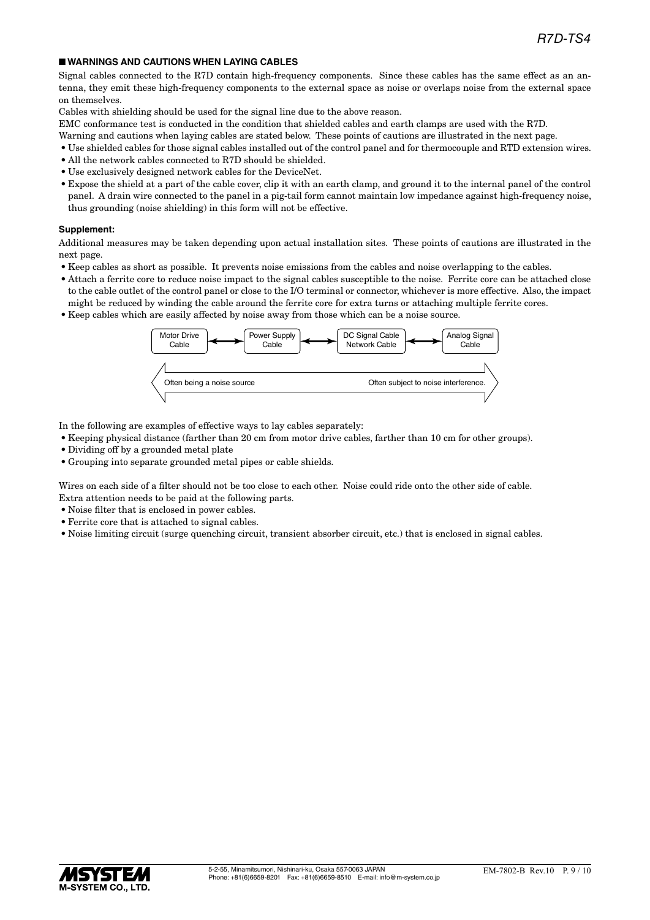#### ■ **WARNINGS AND CAUTIONS WHEN LAYING CABLES**

Signal cables connected to the R7D contain high-frequency components. Since these cables has the same effect as an antenna, they emit these high-frequency components to the external space as noise or overlaps noise from the external space on themselves.

Cables with shielding should be used for the signal line due to the above reason.

EMC conformance test is conducted in the condition that shielded cables and earth clamps are used with the R7D.

- Warning and cautions when laying cables are stated below. These points of cautions are illustrated in the next page.
- Use shielded cables for those signal cables installed out of the control panel and for thermocouple and RTD extension wires.
- All the network cables connected to R7D should be shielded.
- Use exclusively designed network cables for the DeviceNet.
- Expose the shield at a part of the cable cover, clip it with an earth clamp, and ground it to the internal panel of the control panel. A drain wire connected to the panel in a pig-tail form cannot maintain low impedance against high-frequency noise, thus grounding (noise shielding) in this form will not be effective.

#### **Supplement:**

Additional measures may be taken depending upon actual installation sites. These points of cautions are illustrated in the next page.

- Keep cables as short as possible. It prevents noise emissions from the cables and noise overlapping to the cables.
- Attach a ferrite core to reduce noise impact to the signal cables susceptible to the noise. Ferrite core can be attached close to the cable outlet of the control panel or close to the I/O terminal or connector, whichever is more effective. Also, the impact might be reduced by winding the cable around the ferrite core for extra turns or attaching multiple ferrite cores.
- Keep cables which are easily affected by noise away from those which can be a noise source.



In the following are examples of effective ways to lay cables separately:

- Keeping physical distance (farther than 20 cm from motor drive cables, farther than 10 cm for other groups).
- Dividing off by a grounded metal plate
- Grouping into separate grounded metal pipes or cable shields.

Wires on each side of a filter should not be too close to each other. Noise could ride onto the other side of cable. Extra attention needs to be paid at the following parts.

- Noise filter that is enclosed in power cables.
- Ferrite core that is attached to signal cables.
- Noise limiting circuit (surge quenching circuit, transient absorber circuit, etc.) that is enclosed in signal cables.